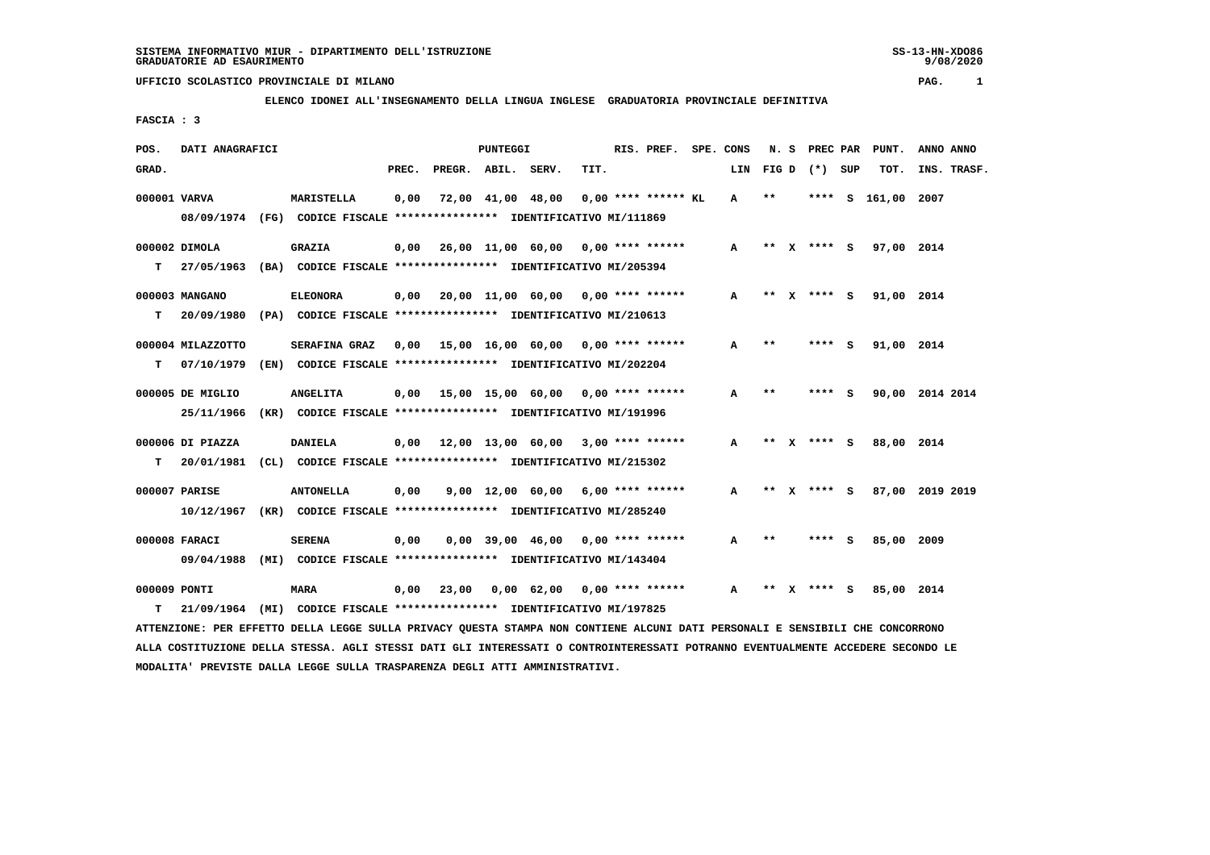9/08/2020

## **UFFICIO SCOLASTICO PROVINCIALE DI MILANO PAG. 1**

## **ELENCO IDONEI ALL'INSEGNAMENTO DELLA LINGUA INGLESE GRADUATORIA PROVINCIALE DEFINITIVA**

 **FASCIA : 3**

| POS.         | DATI ANAGRAFICI   |                                                                          |       |                    | <b>PUNTEGGI</b> |                                           |      | RIS. PREF.            | SPE. CONS    | N.S   |              | PREC PAR    |     | PUNT.      | ANNO ANNO       |  |
|--------------|-------------------|--------------------------------------------------------------------------|-------|--------------------|-----------------|-------------------------------------------|------|-----------------------|--------------|-------|--------------|-------------|-----|------------|-----------------|--|
| GRAD.        |                   |                                                                          | PREC. | PREGR. ABIL. SERV. |                 |                                           | TIT. |                       | LIN          | FIG D |              | (*) SUP     |     | TOT.       | INS. TRASF.     |  |
| 000001 VARVA |                   | MARISTELLA                                                               | 0,00  |                    |                 | 72,00 41,00 48,00                         |      | $0.00$ **** ****** KL | $\mathbf{A}$ | $* *$ |              | ****        | s   | 161,00     | 2007            |  |
|              |                   | 08/09/1974 (FG) CODICE FISCALE *************** IDENTIFICATIVO MI/111869  |       |                    |                 |                                           |      |                       |              |       |              |             |     |            |                 |  |
|              | 000002 DIMOLA     | <b>GRAZIA</b>                                                            | 0,00  |                    |                 | 26,00 11,00 60,00 0,00 **** ******        |      |                       | $\mathbf{A}$ |       |              | ** X **** S |     | 97,00 2014 |                 |  |
| т            |                   | 27/05/1963 (BA) CODICE FISCALE *************** IDENTIFICATIVO MI/205394  |       |                    |                 |                                           |      |                       |              |       |              |             |     |            |                 |  |
|              | 000003 MANGANO    | <b>ELEONORA</b>                                                          |       |                    |                 | $0,00$ 20,00 11,00 60,00 0,00 **** ****** |      |                       | $\mathbf{A}$ | $***$ | $\mathbf{x}$ | $***$ S     |     | 91,00 2014 |                 |  |
| т            |                   | 20/09/1980 (PA) CODICE FISCALE **************** IDENTIFICATIVO MI/210613 |       |                    |                 |                                           |      |                       |              |       |              |             |     |            |                 |  |
|              | 000004 MILAZZOTTO | <b>SERAFINA GRAZ</b>                                                     |       |                    |                 | $0.00$ 15.00 16.00 60.00 0.00 **** ****** |      |                       | A            | $**$  |              | ****        | S   | 91,00 2014 |                 |  |
| т            |                   | 07/10/1979 (EN) CODICE FISCALE *************** IDENTIFICATIVO MI/202204  |       |                    |                 |                                           |      |                       |              |       |              |             |     |            |                 |  |
|              | 000005 DE MIGLIO  | <b>ANGELITA</b>                                                          |       |                    |                 | $0.00$ 15.00 15.00 60.00 0.00 **** ****** |      |                       | A            | $* *$ |              | **** S      |     |            | 90,00 2014 2014 |  |
|              | 25/11/1966        | (KR) CODICE FISCALE **************** IDENTIFICATIVO MI/191996            |       |                    |                 |                                           |      |                       |              |       |              |             |     |            |                 |  |
|              | 000006 DI PIAZZA  | <b>DANIELA</b>                                                           |       |                    |                 | $0.00$ 12.00 13.00 60.00 3.00 **** ****** |      |                       | A            | $***$ |              | $X$ **** S  |     | 88,00 2014 |                 |  |
| T.           |                   | 20/01/1981 (CL) CODICE FISCALE *************** IDENTIFICATIVO MI/215302  |       |                    |                 |                                           |      |                       |              |       |              |             |     |            |                 |  |
|              | 000007 PARISE     | <b>ANTONELLA</b>                                                         | 0,00  |                    |                 | $9.00$ 12.00 60.00 6.00 **** ******       |      |                       | A            | $* *$ | <b>X</b>     | $***$ S     |     |            | 87,00 2019 2019 |  |
|              |                   | 10/12/1967 (KR) CODICE FISCALE *************** IDENTIFICATIVO MI/285240  |       |                    |                 |                                           |      |                       |              |       |              |             |     |            |                 |  |
|              | 000008 FARACI     | <b>SERENA</b>                                                            | 0.00  |                    |                 | $0.00$ 39.00 46.00 0.00 **** ******       |      |                       | A            | $* *$ |              | ****        | - S | 85,00 2009 |                 |  |
|              |                   | 09/04/1988 (MI) CODICE FISCALE *************** IDENTIFICATIVO MI/143404  |       |                    |                 |                                           |      |                       |              |       |              |             |     |            |                 |  |
| 000009 PONTI |                   | <b>MARA</b>                                                              | 0,00  | 23,00              |                 | $0.00 \t62.00 \t0.00$ **** ******         |      |                       | A            | **    | X.           | $***$ S     |     | 85,00 2014 |                 |  |
|              |                   |                                                                          |       |                    |                 |                                           |      |                       |              |       |              |             |     |            |                 |  |
| т            | 21/09/1964        | (MI) CODICE FISCALE *************** IDENTIFICATIVO MI/197825             |       |                    |                 |                                           |      |                       |              |       |              |             |     |            |                 |  |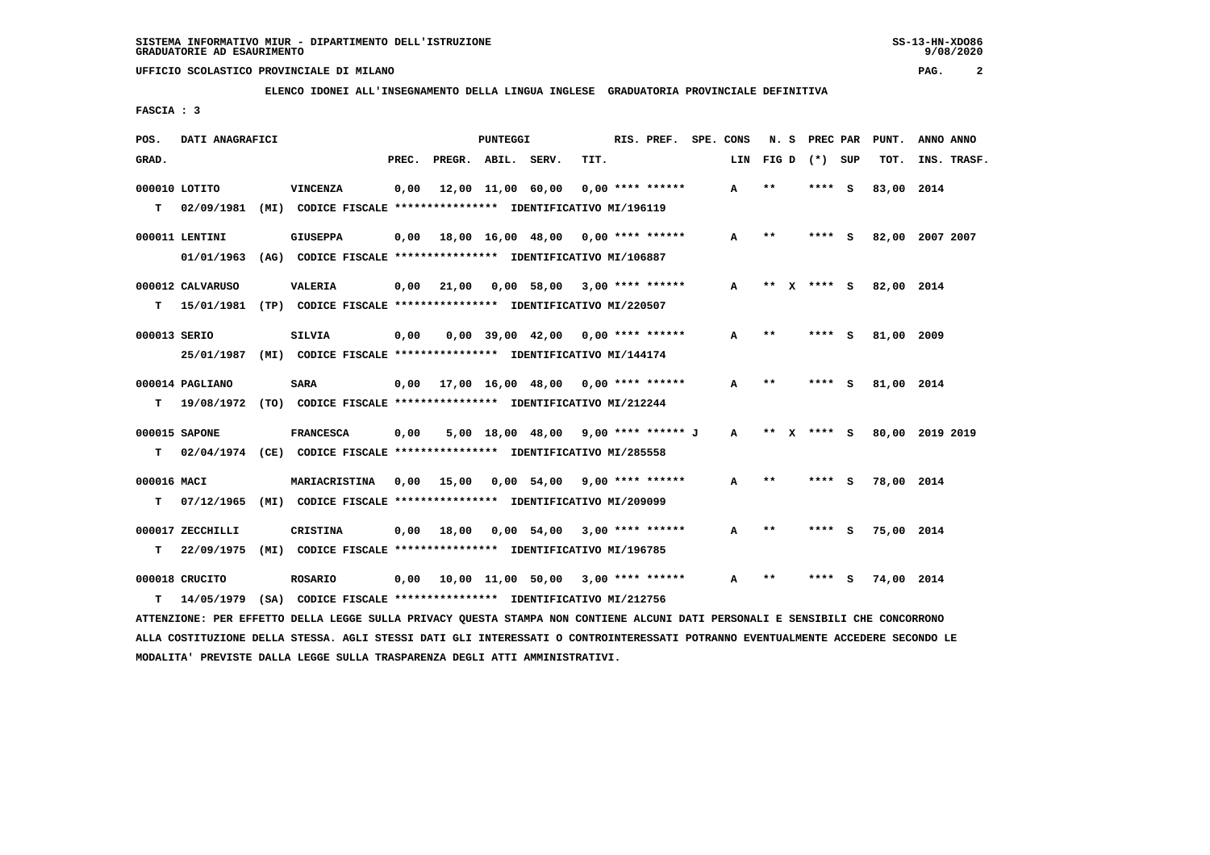**ELENCO IDONEI ALL'INSEGNAMENTO DELLA LINGUA INGLESE GRADUATORIA PROVINCIALE DEFINITIVA**

 **FASCIA : 3**

| POS.         | DATI ANAGRAFICI  |                                                                                                                               |       |                    | PUNTEGGI |                                            |      | RIS. PREF. SPE. CONS |   | N.S   |                  | PREC PAR PUNT.         | ANNO ANNO |             |
|--------------|------------------|-------------------------------------------------------------------------------------------------------------------------------|-------|--------------------|----------|--------------------------------------------|------|----------------------|---|-------|------------------|------------------------|-----------|-------------|
| GRAD.        |                  |                                                                                                                               | PREC. | PREGR. ABIL. SERV. |          |                                            | TIT. |                      |   |       | LIN FIGD (*) SUP | TOT.                   |           | INS. TRASF. |
|              | 000010 LOTITO    | <b>VINCENZA</b>                                                                                                               | 0,00  |                    |          | $12,00$ $11,00$ $60,00$ $0,00$ **** ****** |      |                      | A | $* *$ | **** S           | 83,00 2014             |           |             |
| T.           | 02/09/1981       | (MI) CODICE FISCALE **************** IDENTIFICATIVO MI/196119                                                                 |       |                    |          |                                            |      |                      |   |       |                  |                        |           |             |
|              | 000011 LENTINI   | <b>GIUSEPPA</b>                                                                                                               |       |                    |          | $0,00$ 18,00 16,00 48,00 0,00 **** ******  |      |                      | A | $* *$ | **** S           | 82,00 2007 2007        |           |             |
|              |                  | 01/01/1963 (AG) CODICE FISCALE *************** IDENTIFICATIVO MI/106887                                                       |       |                    |          |                                            |      |                      |   |       |                  |                        |           |             |
|              | 000012 CALVARUSO | VALERIA                                                                                                                       | 0,00  |                    |          | 21,00  0,00  58,00  3,00  ****  ******     |      |                      | A |       |                  | ** X **** S 82,00 2014 |           |             |
| T.           | 15/01/1981       | (TP) CODICE FISCALE **************** IDENTIFICATIVO MI/220507                                                                 |       |                    |          |                                            |      |                      |   |       |                  |                        |           |             |
| 000013 SERIO |                  | <b>SILVIA</b>                                                                                                                 | 0,00  |                    |          | $0,00$ 39,00 42,00 0,00 **** ******        |      |                      | A | $* *$ | **** S           | 81,00 2009             |           |             |
|              | 25/01/1987       | (MI) CODICE FISCALE **************** IDENTIFICATIVO MI/144174                                                                 |       |                    |          |                                            |      |                      |   |       |                  |                        |           |             |
|              | 000014 PAGLIANO  | <b>SARA</b>                                                                                                                   |       |                    |          | $0,00$ 17,00 16,00 48,00 0,00 **** ******  |      |                      | A | $* *$ | **** S           | 81,00 2014             |           |             |
|              |                  | T 19/08/1972 (TO) CODICE FISCALE *************** IDENTIFICATIVO MI/212244                                                     |       |                    |          |                                            |      |                      |   |       |                  |                        |           |             |
|              | 000015 SAPONE    | <b>FRANCESCA</b>                                                                                                              | 0,00  |                    |          | 5,00 18,00 48,00 9,00 **** ****** J A      |      |                      |   |       | ** x **** s      | 80,00 2019 2019        |           |             |
| т            |                  | 02/04/1974 (CE) CODICE FISCALE **************** IDENTIFICATIVO MI/285558                                                      |       |                    |          |                                            |      |                      |   |       |                  |                        |           |             |
| 000016 MACI  |                  | MARIACRISTINA                                                                                                                 | 0,00  |                    |          | 15,00 0,00 54,00 9,00 **** ******          |      |                      | A | $***$ | **** S           | 78,00 2014             |           |             |
| т            | 07/12/1965       | (MI) CODICE FISCALE **************** IDENTIFICATIVO MI/209099                                                                 |       |                    |          |                                            |      |                      |   |       |                  |                        |           |             |
|              | 000017 ZECCHILLI | <b>CRISTINA</b>                                                                                                               |       |                    |          | $0,00$ 18,00 0,00 54,00 3,00 **** ******   |      |                      | A | $* *$ | **** S           | 75,00 2014             |           |             |
| т            | 22/09/1975       | (MI) CODICE FISCALE **************** IDENTIFICATIVO MI/196785                                                                 |       |                    |          |                                            |      |                      |   |       |                  |                        |           |             |
|              | 000018 CRUCITO   | <b>ROSARIO</b>                                                                                                                |       |                    |          | $0,00$ 10,00 11,00 50,00 3,00 **** ******  |      |                      | A | $* *$ | **** S           | 74,00 2014             |           |             |
| т            | 14/05/1979       | (SA) CODICE FISCALE *************** IDENTIFICATIVO MI/212756                                                                  |       |                    |          |                                            |      |                      |   |       |                  |                        |           |             |
|              |                  | ATTENZIONE: PER EFFETTO DELLA LEGGE SULLA PRIVACY QUESTA STAMPA NON CONTIENE ALCUNI DATI PERSONALI E SENSIBILI CHE CONCORRONO |       |                    |          |                                            |      |                      |   |       |                  |                        |           |             |

 **ALLA COSTITUZIONE DELLA STESSA. AGLI STESSI DATI GLI INTERESSATI O CONTROINTERESSATI POTRANNO EVENTUALMENTE ACCEDERE SECONDO LE MODALITA' PREVISTE DALLA LEGGE SULLA TRASPARENZA DEGLI ATTI AMMINISTRATIVI.**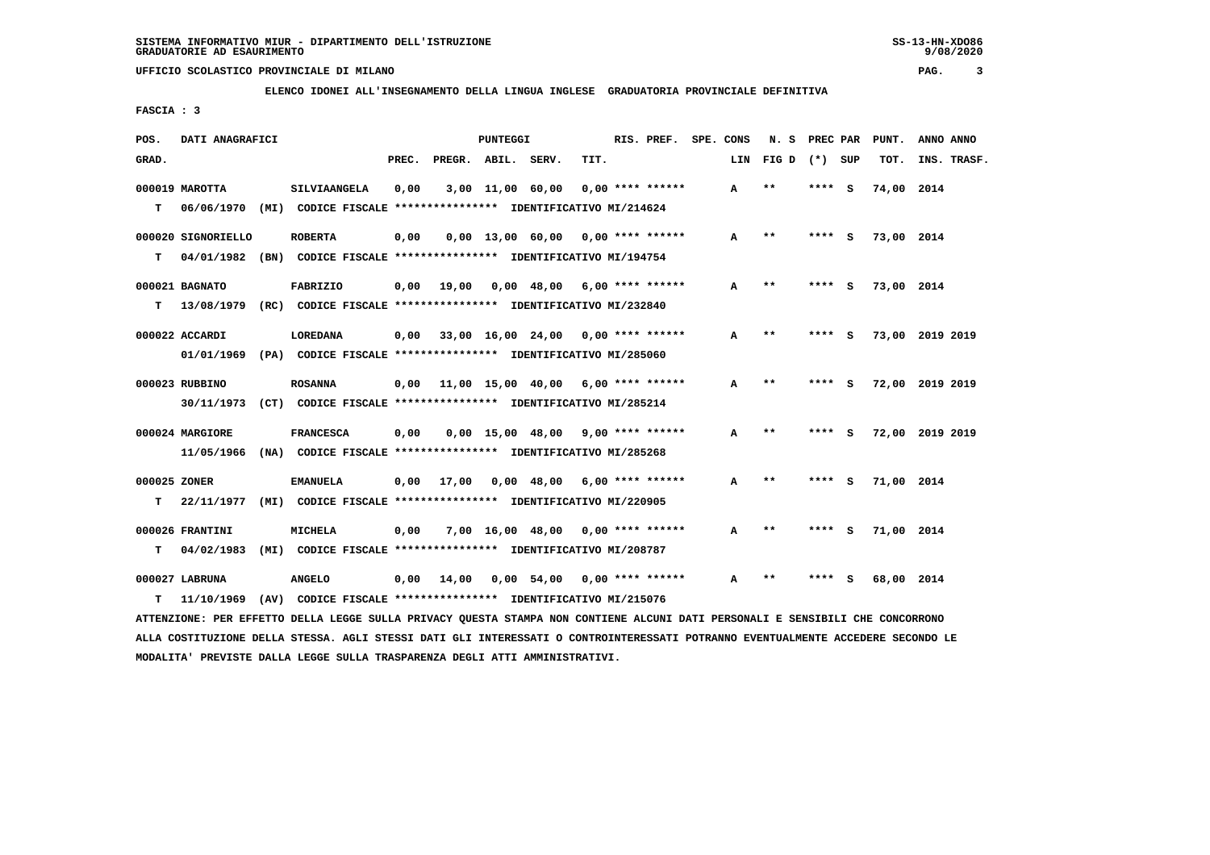**ELENCO IDONEI ALL'INSEGNAMENTO DELLA LINGUA INGLESE GRADUATORIA PROVINCIALE DEFINITIVA**

 **FASCIA : 3**

| POS.         | DATI ANAGRAFICI              |                                                                                |       |                    | <b>PUNTEGGI</b> |                                                   |      | RIS. PREF. SPE. CONS |              | N. S            | PREC PAR |          | PUNT.      | ANNO ANNO       |
|--------------|------------------------------|--------------------------------------------------------------------------------|-------|--------------------|-----------------|---------------------------------------------------|------|----------------------|--------------|-----------------|----------|----------|------------|-----------------|
| GRAD.        |                              |                                                                                | PREC. | PREGR. ABIL. SERV. |                 |                                                   | TIT. |                      | LIN          | $FIG D (*) SUB$ |          |          | TOT.       | INS. TRASF.     |
|              | 000019 MAROTTA               | SILVIAANGELA                                                                   | 0,00  |                    |                 | 3,00 11,00 60,00                                  |      | $0.00$ **** ******   | A            | $* *$           | ****     | - S      | 74,00 2014 |                 |
| т            | 06/06/1970                   | (MI) CODICE FISCALE **************** IDENTIFICATIVO MI/214624                  |       |                    |                 |                                                   |      |                      |              |                 |          |          |            |                 |
|              | 000020 SIGNORIELLO           | <b>ROBERTA</b>                                                                 | 0,00  |                    |                 | $0.00$ 13.00 60.00 0.00 **** ******               |      |                      | A            | $* *$           | **** S   |          | 73,00 2014 |                 |
| т            | 04/01/1982                   | (BN) CODICE FISCALE **************** IDENTIFICATIVO MI/194754                  |       |                    |                 |                                                   |      |                      |              |                 |          |          |            |                 |
|              | 000021 BAGNATO               | <b>FABRIZIO</b>                                                                | 0,00  | 19,00              |                 | $0.00 \quad 48.00 \quad 6.00 \quad *** \quad ***$ |      |                      | A            | $* *$           | ****     | - S      | 73,00 2014 |                 |
| т            |                              | 13/08/1979 (RC) CODICE FISCALE **************** IDENTIFICATIVO MI/232840       |       |                    |                 |                                                   |      |                      |              |                 |          |          |            |                 |
|              | 000022 ACCARDI               | LOREDANA                                                                       | 0,00  |                    |                 | 33,00 16,00 24,00 0,00 **** ******                |      |                      | А            | $* *$           | ****     | <b>S</b> |            | 73,00 2019 2019 |
|              |                              | 01/01/1969 (PA) CODICE FISCALE *************** IDENTIFICATIVO MI/285060        |       |                    |                 |                                                   |      |                      |              |                 |          |          |            |                 |
|              | 000023 RUBBINO               | <b>ROSANNA</b>                                                                 | 0,00  |                    |                 | 11,00 15,00 40,00 6,00 **** ******                |      |                      | A            | $* *$           | **** S   |          |            | 72,00 2019 2019 |
|              | 30/11/1973                   | (CT) CODICE FISCALE *************** IDENTIFICATIVO MI/285214                   |       |                    |                 |                                                   |      |                      |              |                 |          |          |            |                 |
|              | 000024 MARGIORE              | <b>FRANCESCA</b>                                                               | 0,00  |                    |                 | $0,00$ 15,00 48,00 9,00 **** ******               |      |                      | $\mathbf{A}$ | $**$            | **** S   |          |            | 72,00 2019 2019 |
|              | 11/05/1966                   | (NA) CODICE FISCALE **************** IDENTIFICATIVO MI/285268                  |       |                    |                 |                                                   |      |                      |              |                 |          |          |            |                 |
| 000025 ZONER |                              | <b>EMANUELA</b>                                                                | 0,00  | 17,00              |                 | $0,00$ 48,00 6,00 **** ******                     |      |                      | A            | $* *$           | ****     | - 5      | 71,00 2014 |                 |
| т            | 22/11/1977                   | (MI) CODICE FISCALE **************** IDENTIFICATIVO MI/220905                  |       |                    |                 |                                                   |      |                      |              |                 |          |          |            |                 |
|              | 000026 FRANTINI              | MICHELA                                                                        | 0,00  |                    |                 | $7,00$ 16,00 48,00 0,00 **** ******               |      |                      | A            | $* *$           | ****     | - S      | 71,00 2014 |                 |
| т            | 04/02/1983                   | (MI) CODICE FISCALE **************** IDENTIFICATIVO MI/208787                  |       |                    |                 |                                                   |      |                      |              |                 |          |          |            |                 |
|              |                              |                                                                                |       |                    |                 |                                                   |      |                      |              | **              |          |          |            |                 |
| т            | 000027 LABRUNA<br>11/10/1969 | <b>ANGELO</b><br>(AV) CODICE FISCALE **************** IDENTIFICATIVO MI/215076 | 0,00  | 14,00              |                 | $0,00$ 54,00 0,00 **** ******                     |      |                      | A            |                 |          |          | 68,00 2014 |                 |
|              |                              |                                                                                |       |                    |                 |                                                   |      |                      |              |                 |          |          |            |                 |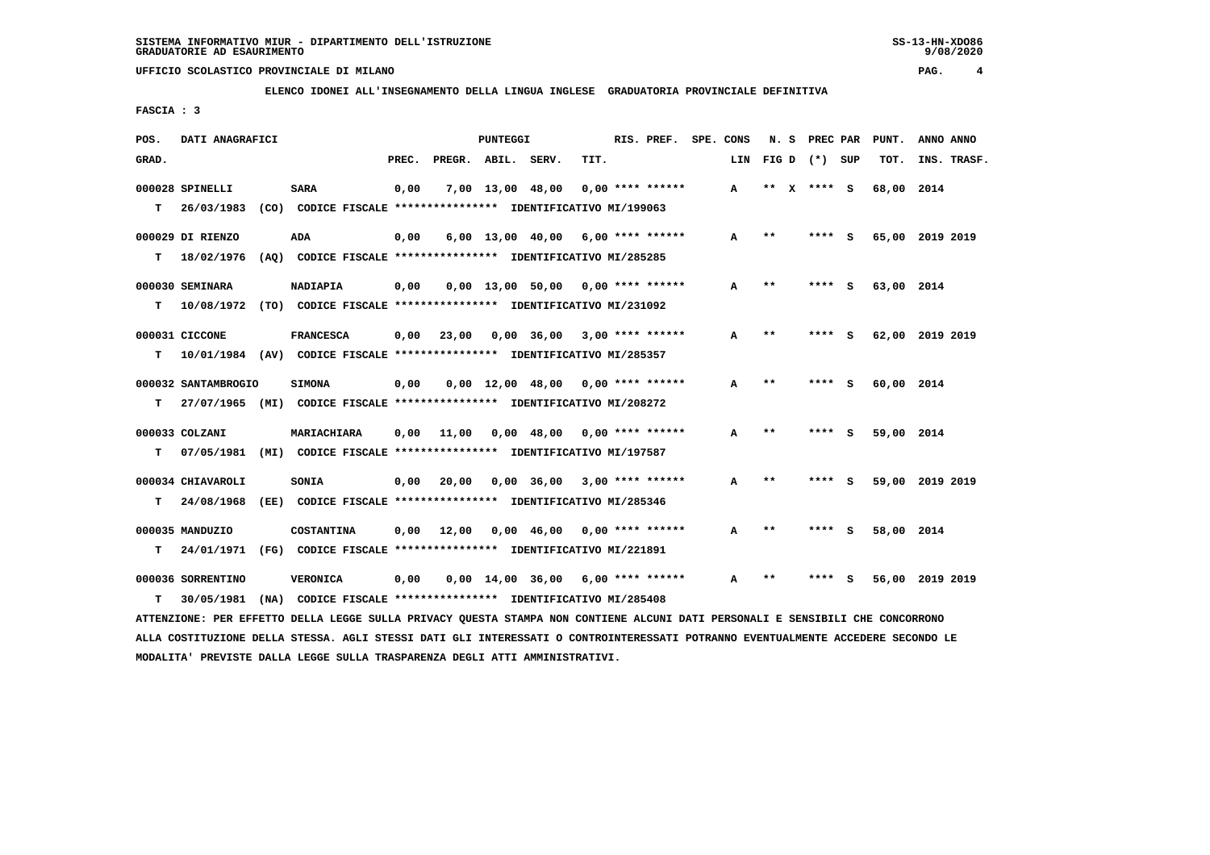**ELENCO IDONEI ALL'INSEGNAMENTO DELLA LINGUA INGLESE GRADUATORIA PROVINCIALE DEFINITIVA**

 **FASCIA : 3**

| POS.  | DATI ANAGRAFICI     |                                                                                                                               |       |                    | PUNTEGGI |                                                   |      | RIS. PREF.         | SPE. CONS | N. S            |          |        | PREC PAR | PUNT.           | ANNO ANNO |             |
|-------|---------------------|-------------------------------------------------------------------------------------------------------------------------------|-------|--------------------|----------|---------------------------------------------------|------|--------------------|-----------|-----------------|----------|--------|----------|-----------------|-----------|-------------|
| GRAD. |                     |                                                                                                                               | PREC. | PREGR. ABIL. SERV. |          |                                                   | TIT. |                    | LIN       | $FIG D (*) SUB$ |          |        |          | TOT.            |           | INS. TRASF. |
|       | 000028 SPINELLI     | <b>SARA</b>                                                                                                                   | 0,00  |                    |          | 7,00 13,00 48,00                                  |      | $0.00$ **** ****** | A         | $***$           | X **** S |        |          | 68,00 2014      |           |             |
| т     | 26/03/1983          | (CO) CODICE FISCALE **************** IDENTIFICATIVO MI/199063                                                                 |       |                    |          |                                                   |      |                    |           |                 |          |        |          |                 |           |             |
|       | 000029 DI RIENZO    | ADA                                                                                                                           | 0,00  |                    |          | $6,00$ 13,00 40,00 6,00 **** ******               |      |                    | A         | $* *$           |          | **** S |          | 65,00 2019 2019 |           |             |
| т     | 18/02/1976          | (AO) CODICE FISCALE **************** IDENTIFICATIVO MI/285285                                                                 |       |                    |          |                                                   |      |                    |           |                 |          |        |          |                 |           |             |
|       | 000030 SEMINARA     | NADIAPIA                                                                                                                      | 0,00  |                    |          | $0,00$ 13,00 50,00 0,00 **** ******               |      |                    | A         | $***$           |          | **** S |          | 63,00 2014      |           |             |
| т     |                     | 10/08/1972 (TO) CODICE FISCALE **************** IDENTIFICATIVO MI/231092                                                      |       |                    |          |                                                   |      |                    |           |                 |          |        |          |                 |           |             |
|       | 000031 CICCONE      | <b>FRANCESCA</b>                                                                                                              | 0,00  | 23,00              |          | $0,00$ 36,00 3,00 **** ******                     |      |                    | A         | $***$           |          | **** S |          | 62,00 2019 2019 |           |             |
| т     |                     | 10/01/1984 (AV) CODICE FISCALE **************** IDENTIFICATIVO MI/285357                                                      |       |                    |          |                                                   |      |                    |           |                 |          |        |          |                 |           |             |
|       | 000032 SANTAMBROGIO | <b>SIMONA</b>                                                                                                                 | 0,00  |                    |          | $0,00$ 12,00 48,00 0,00 **** ******               |      |                    | A         | $***$           |          | ****   | - 5      | 60,00 2014      |           |             |
| т     |                     | 27/07/1965 (MI) CODICE FISCALE **************** IDENTIFICATIVO MI/208272                                                      |       |                    |          |                                                   |      |                    |           |                 |          |        |          |                 |           |             |
|       | 000033 COLZANI      | MARIACHIARA                                                                                                                   | 0,00  | 11,00              |          | $0.00 \quad 48.00 \quad 0.00 \quad *** \quad ***$ |      |                    | A         | $**$            |          | **** S |          | 59,00 2014      |           |             |
| т     |                     | 07/05/1981 (MI) CODICE FISCALE *************** IDENTIFICATIVO MI/197587                                                       |       |                    |          |                                                   |      |                    |           |                 |          |        |          |                 |           |             |
|       | 000034 CHIAVAROLI   | <b>SONIA</b>                                                                                                                  | 0,00  | 20,00              |          | 0,00 36,00                                        |      | $3,00$ **** ****** | A         | $* *$           |          | **** S |          | 59,00 2019 2019 |           |             |
| т     | 24/08/1968          | (EE) CODICE FISCALE **************** IDENTIFICATIVO MI/285346                                                                 |       |                    |          |                                                   |      |                    |           |                 |          |        |          |                 |           |             |
|       | 000035 MANDUZIO     | COSTANTINA                                                                                                                    | 0,00  | 12,00              |          | $0,00$ 46,00 0,00 **** ******                     |      |                    | A         | $* *$           |          | **** S |          | 58,00 2014      |           |             |
| т     |                     | 24/01/1971 (FG) CODICE FISCALE *************** IDENTIFICATIVO MI/221891                                                       |       |                    |          |                                                   |      |                    |           |                 |          |        |          |                 |           |             |
|       | 000036 SORRENTINO   | <b>VERONICA</b>                                                                                                               | 0,00  |                    |          | $0,00$ 14,00 36,00 6,00 **** ******               |      |                    | A         | $* *$           |          |        | - S      | 56,00 2019 2019 |           |             |
| т     | 30/05/1981          | (NA) CODICE FISCALE **************** IDENTIFICATIVO MI/285408                                                                 |       |                    |          |                                                   |      |                    |           |                 |          |        |          |                 |           |             |
|       |                     | ATTENZIONE: PER EFFETTO DELLA LEGGE SULLA PRIVACY QUESTA STAMPA NON CONTIENE ALCUNI DATI PERSONALI E SENSIBILI CHE CONCORRONO |       |                    |          |                                                   |      |                    |           |                 |          |        |          |                 |           |             |

 **ALLA COSTITUZIONE DELLA STESSA. AGLI STESSI DATI GLI INTERESSATI O CONTROINTERESSATI POTRANNO EVENTUALMENTE ACCEDERE SECONDO LE MODALITA' PREVISTE DALLA LEGGE SULLA TRASPARENZA DEGLI ATTI AMMINISTRATIVI.**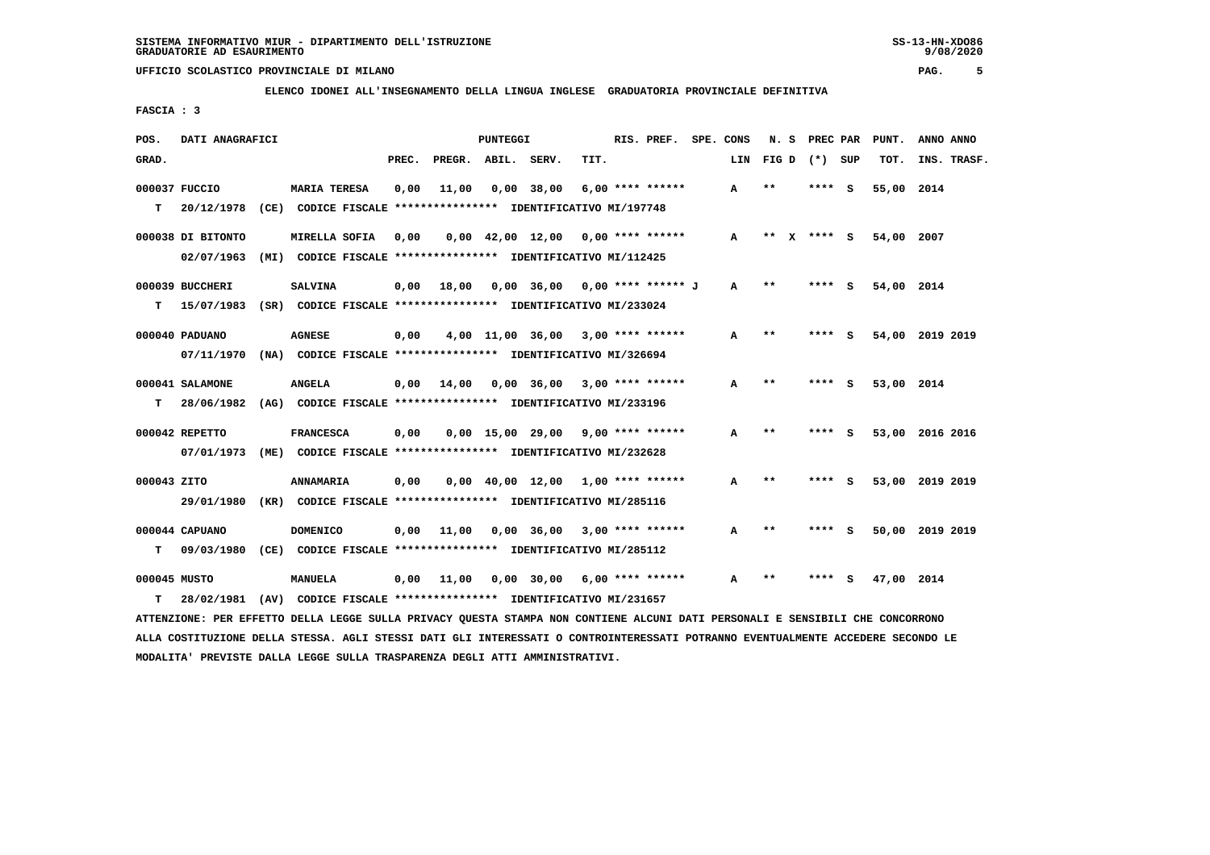**ELENCO IDONEI ALL'INSEGNAMENTO DELLA LINGUA INGLESE GRADUATORIA PROVINCIALE DEFINITIVA**

 **FASCIA : 3**

| POS.         | DATI ANAGRAFICI   |                                                                          |       |                    | PUNTEGGI |                                                               |      | RIS. PREF.         | SPE. CONS |     | N. S       |      | PREC PAR        | PUNT.      | ANNO ANNO       |
|--------------|-------------------|--------------------------------------------------------------------------|-------|--------------------|----------|---------------------------------------------------------------|------|--------------------|-----------|-----|------------|------|-----------------|------------|-----------------|
| GRAD.        |                   |                                                                          | PREC. | PREGR. ABIL. SERV. |          |                                                               | TIT. |                    |           | LIN |            |      | FIG D $(*)$ SUP | TOT.       | INS. TRASF.     |
|              | 000037 FUCCIO     | <b>MARIA TERESA</b>                                                      | 0,00  | 11,00              |          | 0,00 38,00                                                    |      | $6.00$ **** ****** |           | A   | $**$       |      | **** S          | 55,00 2014 |                 |
| т            | 20/12/1978        | (CE) CODICE FISCALE **************** IDENTIFICATIVO MI/197748            |       |                    |          |                                                               |      |                    |           |     |            |      |                 |            |                 |
|              | 000038 DI BITONTO | MIRELLA SOFIA                                                            | 0,00  |                    |          | $0,00$ 42,00 12,00 0,00 **** ******                           |      |                    |           | A   | $***$<br>X |      | **** $S$        | 54,00 2007 |                 |
|              | 02/07/1963        | (MI) CODICE FISCALE **************** IDENTIFICATIVO MI/112425            |       |                    |          |                                                               |      |                    |           |     |            |      |                 |            |                 |
|              | 000039 BUCCHERI   | <b>SALVINA</b>                                                           | 0,00  | 18,00              |          | $0,00$ 36,00 0,00 **** ****** J                               |      |                    |           | A   | $***$      |      | **** S          | 54,00 2014 |                 |
| т            |                   | 15/07/1983 (SR) CODICE FISCALE **************** IDENTIFICATIVO MI/233024 |       |                    |          |                                                               |      |                    |           |     |            |      |                 |            |                 |
|              | 000040 PADUANO    | <b>AGNESE</b>                                                            | 0,00  |                    |          | $4,00$ 11,00 36,00 3,00 **** ******                           |      |                    |           | A   | $* *$      |      | **** S          |            | 54,00 2019 2019 |
|              | 07/11/1970        | (NA) CODICE FISCALE **************** IDENTIFICATIVO MI/326694            |       |                    |          |                                                               |      |                    |           |     |            |      |                 |            |                 |
|              | 000041 SALAMONE   | <b>ANGELA</b>                                                            | 0,00  | 14,00              |          | $0,00$ 36,00 3,00 **** ******                                 |      |                    |           | A   | $* *$      |      | **** S          | 53,00 2014 |                 |
| т            | 28/06/1982        | (AG) CODICE FISCALE **************** IDENTIFICATIVO MI/233196            |       |                    |          |                                                               |      |                    |           |     |            |      |                 |            |                 |
|              | 000042 REPETTO    | <b>FRANCESCA</b>                                                         | 0,00  |                    |          | $0,00$ 15,00 29,00 9,00 **** ******                           |      |                    |           | A   | $* *$      |      | **** S          |            | 53,00 2016 2016 |
|              | 07/01/1973        | (ME) CODICE FISCALE *************** IDENTIFICATIVO MI/232628             |       |                    |          |                                                               |      |                    |           |     |            |      |                 |            |                 |
| 000043 ZITO  |                   | <b>ANNAMARIA</b>                                                         | 0,00  |                    |          | $0.00 \quad 40.00 \quad 12.00 \quad 1.00 \quad *** \quad ***$ |      |                    |           | А   | * *        | **** | - S             |            | 53,00 2019 2019 |
|              | 29/01/1980        | (KR) CODICE FISCALE **************** IDENTIFICATIVO MI/285116            |       |                    |          |                                                               |      |                    |           |     |            |      |                 |            |                 |
|              | 000044 CAPUANO    | <b>DOMENICO</b>                                                          | 0,00  | 11,00              |          | $0.00$ 36.00 3.00 **** ******                                 |      |                    |           | А   | $***$      |      | **** S          |            | 50,00 2019 2019 |
| т            | 09/03/1980        | (CE) CODICE FISCALE **************** IDENTIFICATIVO MI/285112            |       |                    |          |                                                               |      |                    |           |     |            |      |                 |            |                 |
| 000045 MUSTO |                   | <b>MANUELA</b>                                                           | 0,00  | 11,00              |          | 0,00 30,00                                                    |      | $6,00$ **** ****** |           | A   | * *        | **** | s               | 47,00 2014 |                 |
| т            | 28/02/1981        | (AV) CODICE FISCALE **************** IDENTIFICATIVO MI/231657            |       |                    |          |                                                               |      |                    |           |     |            |      |                 |            |                 |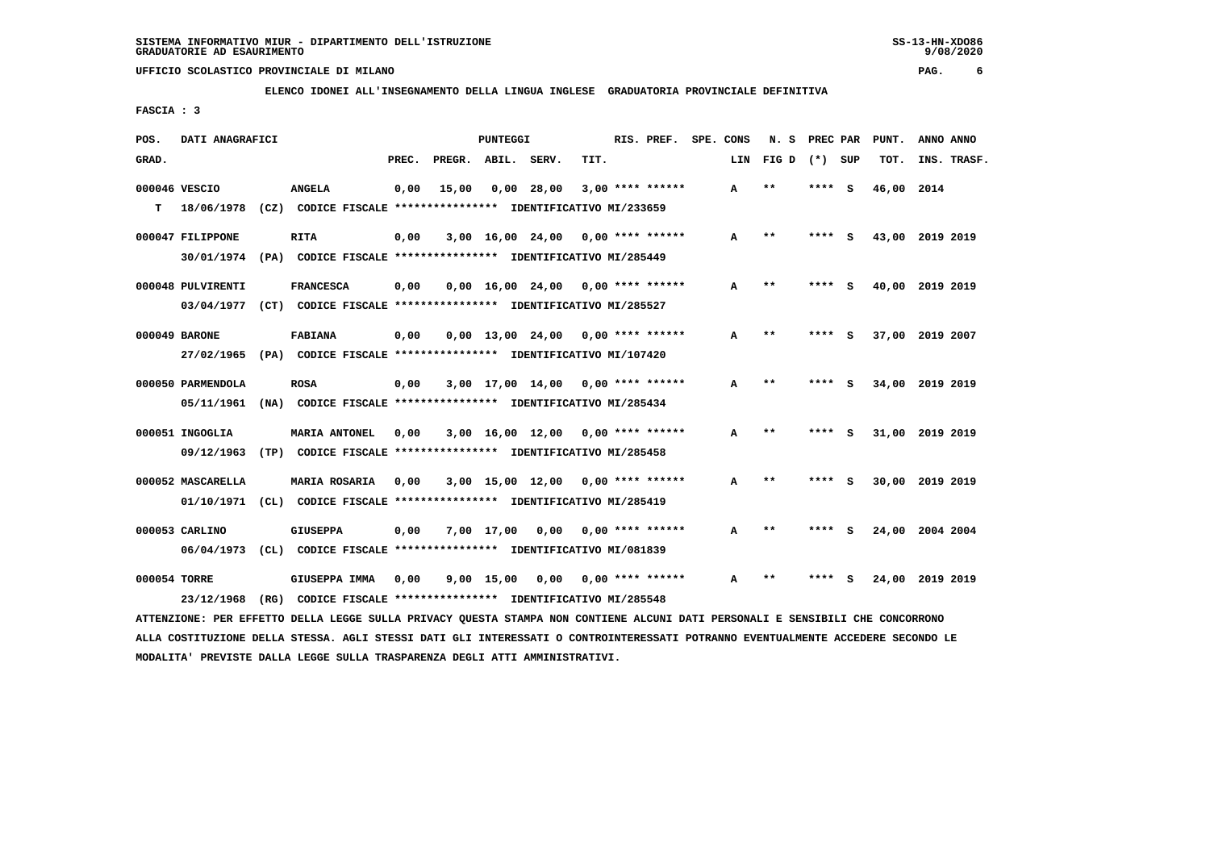**ELENCO IDONEI ALL'INSEGNAMENTO DELLA LINGUA INGLESE GRADUATORIA PROVINCIALE DEFINITIVA**

 **FASCIA : 3**

| POS.         | DATI ANAGRAFICI   |                                                                                                                               |       |                    | <b>PUNTEGGI</b> |                                     |      | RIS. PREF.         | SPE. CONS |     | N.S   | PREC PAR |     | PUNT.           | ANNO ANNO |             |
|--------------|-------------------|-------------------------------------------------------------------------------------------------------------------------------|-------|--------------------|-----------------|-------------------------------------|------|--------------------|-----------|-----|-------|----------|-----|-----------------|-----------|-------------|
| GRAD.        |                   |                                                                                                                               | PREC. | PREGR. ABIL. SERV. |                 |                                     | TIT. |                    |           | LIN | FIG D | $(*)$    | SUP | TOT.            |           | INS. TRASF. |
|              | 000046 VESCIO     | <b>ANGELA</b>                                                                                                                 | 0,00  | 15,00              |                 | 0.00 28.00                          |      | $3,00$ **** ****** |           | A   | $* *$ | ****     | - S | 46,00 2014      |           |             |
| т            | 18/06/1978        | (CZ) CODICE FISCALE **************** IDENTIFICATIVO MI/233659                                                                 |       |                    |                 |                                     |      |                    |           |     |       |          |     |                 |           |             |
|              | 000047 FILIPPONE  | RITA                                                                                                                          | 0,00  |                    |                 | $3,00$ 16,00 24,00 0,00 **** ****** |      |                    |           | A   | **    |          | - S | 43,00 2019 2019 |           |             |
|              |                   | 30/01/1974 (PA) CODICE FISCALE *************** IDENTIFICATIVO MI/285449                                                       |       |                    |                 |                                     |      |                    |           |     |       |          |     |                 |           |             |
|              | 000048 PULVIRENTI | <b>FRANCESCA</b>                                                                                                              | 0,00  |                    |                 | $0,00$ 16,00 24,00 0,00 **** ****** |      |                    |           | А   | $**$  | **** S   |     | 40,00 2019 2019 |           |             |
|              |                   | 03/04/1977 (CT) CODICE FISCALE **************** IDENTIFICATIVO MI/285527                                                      |       |                    |                 |                                     |      |                    |           |     |       |          |     |                 |           |             |
|              | 000049 BARONE     | <b>FABIANA</b>                                                                                                                | 0,00  |                    |                 | $0,00$ 13,00 24,00 0,00 **** ****** |      |                    |           | A   | $* *$ | ****     | - 5 | 37,00 2019 2007 |           |             |
|              | 27/02/1965        | (PA) CODICE FISCALE **************** IDENTIFICATIVO MI/107420                                                                 |       |                    |                 |                                     |      |                    |           |     |       |          |     |                 |           |             |
|              | 000050 PARMENDOLA | <b>ROSA</b>                                                                                                                   | 0,00  |                    |                 | $3,00$ 17,00 14,00 0,00 **** ****** |      |                    |           | A   | $***$ | ****     | s   | 34,00           | 2019 2019 |             |
|              | 05/11/1961        | (NA) CODICE FISCALE **************** IDENTIFICATIVO MI/285434                                                                 |       |                    |                 |                                     |      |                    |           |     |       |          |     |                 |           |             |
|              | 000051 INGOGLIA   | <b>MARIA ANTONEL</b>                                                                                                          | 0.00  |                    |                 | $3,00$ 16,00 12,00 0,00 **** ****** |      |                    |           | A   | $**$  | ****     | - S | 31,00 2019 2019 |           |             |
|              | 09/12/1963        | (TP) CODICE FISCALE **************** IDENTIFICATIVO MI/285458                                                                 |       |                    |                 |                                     |      |                    |           |     |       |          |     |                 |           |             |
|              | 000052 MASCARELLA | <b>MARIA ROSARIA</b>                                                                                                          | 0,00  |                    |                 | $3,00$ 15,00 12,00 0,00 **** ****** |      |                    |           | A   | $* *$ | ****     | - 5 | 30,00 2019 2019 |           |             |
|              | 01/10/1971        | (CL) CODICE FISCALE **************** IDENTIFICATIVO MI/285419                                                                 |       |                    |                 |                                     |      |                    |           |     |       |          |     |                 |           |             |
|              | 000053 CARLINO    | <b>GIUSEPPA</b>                                                                                                               | 0,00  |                    | 7,00 17,00      | 0,00                                |      | 0,00 **** ******   |           | A   | $***$ | **** S   |     | 24,00 2004 2004 |           |             |
|              | 06/04/1973        | (CL) CODICE FISCALE *************** IDENTIFICATIVO MI/081839                                                                  |       |                    |                 |                                     |      |                    |           |     |       |          |     |                 |           |             |
| 000054 TORRE |                   | GIUSEPPA IMMA                                                                                                                 | 0,00  |                    | 9,00 15,00      | 0,00                                |      | $0.00$ **** ****** |           | A   | **    |          | s   | 24,00 2019 2019 |           |             |
|              | 23/12/1968        | (RG) CODICE FISCALE **************** IDENTIFICATIVO MI/285548                                                                 |       |                    |                 |                                     |      |                    |           |     |       |          |     |                 |           |             |
|              |                   | ATTENZIONE: PER EFFETTO DELLA LEGGE SULLA PRIVACY QUESTA STAMPA NON CONTIENE ALCUNI DATI PERSONALI E SENSIBILI CHE CONCORRONO |       |                    |                 |                                     |      |                    |           |     |       |          |     |                 |           |             |

 **ALLA COSTITUZIONE DELLA STESSA. AGLI STESSI DATI GLI INTERESSATI O CONTROINTERESSATI POTRANNO EVENTUALMENTE ACCEDERE SECONDO LE MODALITA' PREVISTE DALLA LEGGE SULLA TRASPARENZA DEGLI ATTI AMMINISTRATIVI.**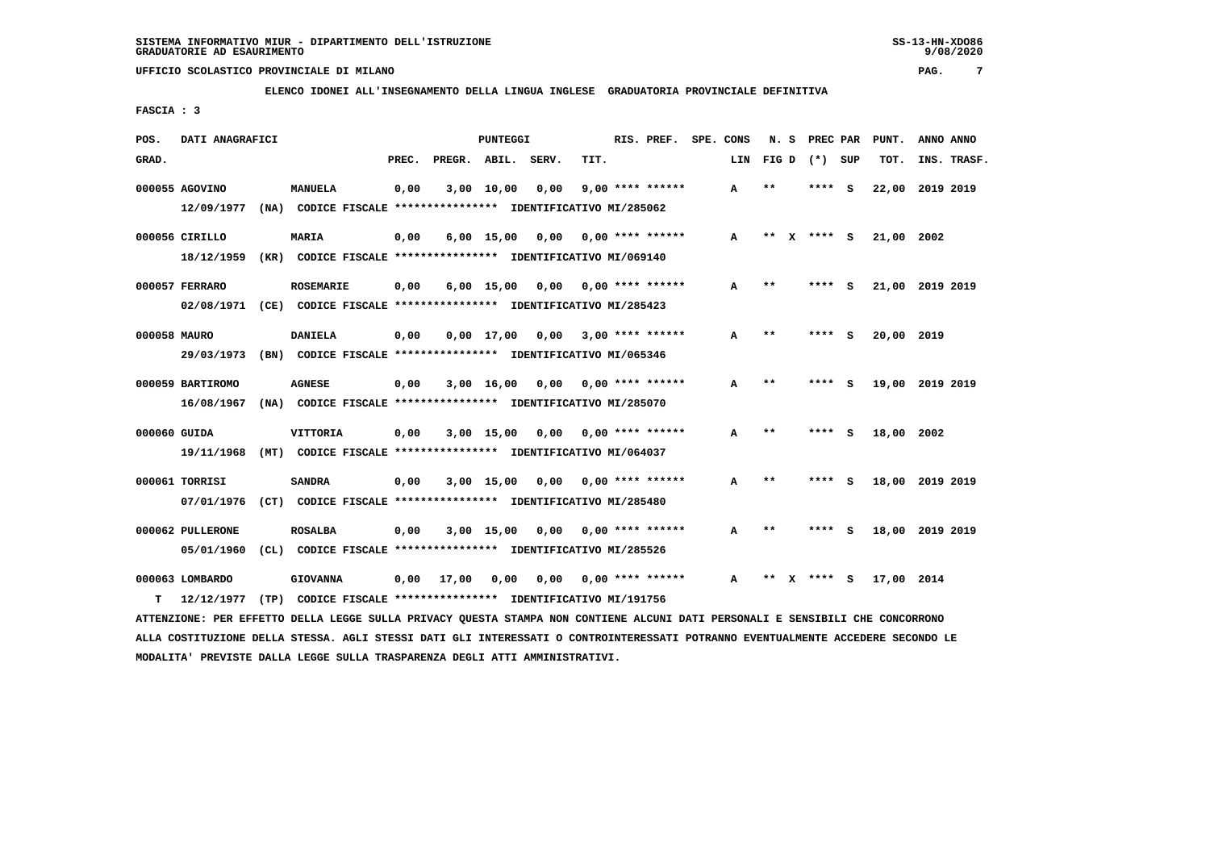**ELENCO IDONEI ALL'INSEGNAMENTO DELLA LINGUA INGLESE GRADUATORIA PROVINCIALE DEFINITIVA**

 **FASCIA : 3**

| POS.         | DATI ANAGRAFICI  |                                                                         |       |              | PUNTEGGI           |       |                           | RIS. PREF.         | SPE. CONS |              | N. S  | PREC PAR        |     | PUNT.      | ANNO ANNO       |
|--------------|------------------|-------------------------------------------------------------------------|-------|--------------|--------------------|-------|---------------------------|--------------------|-----------|--------------|-------|-----------------|-----|------------|-----------------|
| GRAD.        |                  |                                                                         | PREC. | PREGR. ABIL. |                    | SERV. | TIT.                      |                    |           | LIN          |       | FIG D $(*)$ SUP |     | TOT.       | INS. TRASF.     |
|              | 000055 AGOVINO   | <b>MANUELA</b>                                                          | 0,00  |              | 3,00 10,00         | 0,00  |                           | $9,00$ **** ****** |           | A            | $***$ | ****            | - S | 22,00      | 2019 2019       |
|              | 12/09/1977       | (NA) CODICE FISCALE **************** IDENTIFICATIVO MI/285062           |       |              |                    |       |                           |                    |           |              |       |                 |     |            |                 |
|              | 000056 CIRILLO   | <b>MARIA</b>                                                            | 0,00  |              | $6,00$ 15,00       | 0,00  |                           | $0.00$ **** ****** |           | $\mathbf{A}$ | $***$ | **** S          |     | 21,00 2002 |                 |
|              | 18/12/1959       | (KR) CODICE FISCALE **************** IDENTIFICATIVO MI/069140           |       |              |                    |       |                           |                    |           |              |       |                 |     |            |                 |
|              | 000057 FERRARO   | <b>ROSEMARIE</b>                                                        | 0,00  |              | $6,00$ 15,00       | 0,00  |                           | $0.00$ **** ****** |           | A            | **    | ****            | - S |            | 21,00 2019 2019 |
|              |                  | 02/08/1971 (CE) CODICE FISCALE *************** IDENTIFICATIVO MI/285423 |       |              |                    |       |                           |                    |           |              |       |                 |     |            |                 |
| 000058 MAURO |                  | <b>DANIELA</b>                                                          | 0,00  |              | $0,00 \quad 17,00$ | 0,00  |                           | $3,00$ **** ****** |           | A            | **    | **** S          |     | 20,00 2019 |                 |
|              |                  | 29/03/1973 (BN) CODICE FISCALE *************** IDENTIFICATIVO MI/065346 |       |              |                    |       |                           |                    |           |              |       |                 |     |            |                 |
|              | 000059 BARTIROMO | <b>AGNESE</b>                                                           | 0,00  |              | 3,00 16,00         | 0,00  |                           | $0.00$ **** ****** |           | A            | $***$ | **** S          |     |            | 19,00 2019 2019 |
|              | 16/08/1967       | (NA) CODICE FISCALE **************** IDENTIFICATIVO MI/285070           |       |              |                    |       |                           |                    |           |              |       |                 |     |            |                 |
|              | 000060 GUIDA     | <b>VITTORIA</b>                                                         | 0,00  |              | $3,00$ 15,00       |       | $0.00$ $0.00$ **** ****** |                    |           | A            | $* *$ | **** S          |     | 18,00 2002 |                 |
|              | 19/11/1968       | (MT) CODICE FISCALE **************** IDENTIFICATIVO MI/064037           |       |              |                    |       |                           |                    |           |              |       |                 |     |            |                 |
|              | 000061 TORRISI   | <b>SANDRA</b>                                                           | 0,00  |              | $3,00$ 15,00       | 0.00  |                           | $0.00$ **** ****** |           | А            | **    | ****            | - S |            | 18,00 2019 2019 |
|              | 07/01/1976       | (CT) CODICE FISCALE **************** IDENTIFICATIVO MI/285480           |       |              |                    |       |                           |                    |           |              |       |                 |     |            |                 |
|              | 000062 PULLERONE | <b>ROSALBA</b>                                                          | 0,00  |              | $3,00$ 15,00       | 0.00  |                           | $0.00$ **** ****** |           | A            | $***$ | ****            | - S |            | 18,00 2019 2019 |
|              | 05/01/1960       | (CL) CODICE FISCALE **************** IDENTIFICATIVO MI/285526           |       |              |                    |       |                           |                    |           |              |       |                 |     |            |                 |
|              | 000063 LOMBARDO  | <b>GIOVANNA</b>                                                         | 0,00  | 17,00        | 0,00               | 0,00  |                           | $0.00$ **** ****** |           | А            |       | ****            | - 5 | 17,00 2014 |                 |
| т            | 12/12/1977       | (TP) CODICE FISCALE **************** IDENTIFICATIVO MI/191756           |       |              |                    |       |                           |                    |           |              |       |                 |     |            |                 |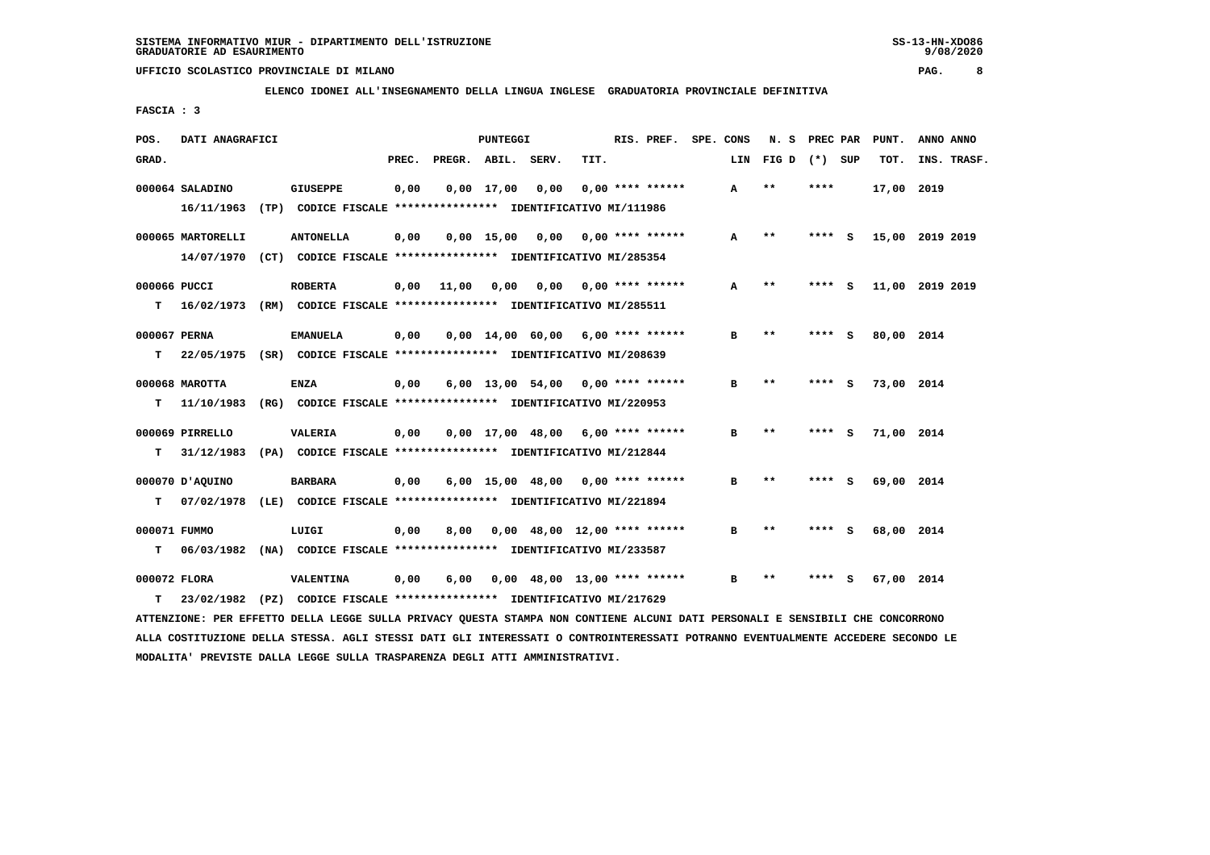**ELENCO IDONEI ALL'INSEGNAMENTO DELLA LINGUA INGLESE GRADUATORIA PROVINCIALE DEFINITIVA**

 **FASCIA : 3**

| POS.         | DATI ANAGRAFICI   |                                                                          |       |              | PUNTEGGI     |       |                                     | RIS. PREF.         | SPE. CONS |     | N. S            | PREC PAR |     | PUNT.           | ANNO ANNO |             |
|--------------|-------------------|--------------------------------------------------------------------------|-------|--------------|--------------|-------|-------------------------------------|--------------------|-----------|-----|-----------------|----------|-----|-----------------|-----------|-------------|
| GRAD.        |                   |                                                                          | PREC. | PREGR. ABIL. |              | SERV. | TIT.                                |                    |           | LIN | FIG D $(*)$ SUP |          |     | TOT.            |           | INS. TRASF. |
|              | 000064 SALADINO   | <b>GIUSEPPE</b>                                                          | 0,00  |              | $0,00$ 17,00 | 0,00  |                                     | $0.00$ **** ****** |           | A   | $* *$           | ****     |     | 17,00 2019      |           |             |
|              | 16/11/1963        | (TP) CODICE FISCALE **************** IDENTIFICATIVO MI/111986            |       |              |              |       |                                     |                    |           |     |                 |          |     |                 |           |             |
|              | 000065 MARTORELLI | <b>ANTONELLA</b>                                                         | 0,00  |              | 0.00 15.00   |       | $0,00$ $0,00$ $***$ **** ******     |                    |           | A   | $* *$           | ****     | - S | 15,00 2019 2019 |           |             |
|              |                   | 14/07/1970 (CT) CODICE FISCALE *************** IDENTIFICATIVO MI/285354  |       |              |              |       |                                     |                    |           |     |                 |          |     |                 |           |             |
| 000066 PUCCI |                   | <b>ROBERTA</b>                                                           | 0,00  | 11,00        | 0,00         | 0,00  |                                     | $0.00$ **** ****** |           | А   | $* *$           | **** S   |     | 11,00 2019 2019 |           |             |
| т            | 16/02/1973        | (RM) CODICE FISCALE **************** IDENTIFICATIVO MI/285511            |       |              |              |       |                                     |                    |           |     |                 |          |     |                 |           |             |
| 000067 PERNA |                   | <b>EMANUELA</b>                                                          | 0,00  |              |              |       | $0,00$ 14,00 60,00 6,00 **** ****** |                    |           | в   | $***$           | **** S   |     | 80,00 2014      |           |             |
| т            |                   | 22/05/1975 (SR) CODICE FISCALE **************** IDENTIFICATIVO MI/208639 |       |              |              |       |                                     |                    |           |     |                 |          |     |                 |           |             |
|              | 000068 MAROTTA    | ENZA                                                                     | 0,00  |              |              |       | $6,00$ 13,00 54,00 0,00 **** ****** |                    |           | в   | $**$            | **** S   |     | 73,00 2014      |           |             |
| т            | 11/10/1983        | (RG) CODICE FISCALE **************** IDENTIFICATIVO MI/220953            |       |              |              |       |                                     |                    |           |     |                 |          |     |                 |           |             |
|              | 000069 PIRRELLO   | <b>VALERIA</b>                                                           | 0,00  |              |              |       | $0,00$ 17,00 48,00 6,00 **** ****** |                    |           | в   | $* *$           | **** S   |     | 71,00 2014      |           |             |
| т            | 31/12/1983        | (PA) CODICE FISCALE **************** IDENTIFICATIVO MI/212844            |       |              |              |       |                                     |                    |           |     |                 |          |     |                 |           |             |
|              | 000070 JAQUINO    | <b>BARBARA</b>                                                           | 0,00  |              |              |       | $6,00$ 15,00 48,00 0,00 **** ****** |                    |           | в   | $* *$           |          |     | 69,00 2014      |           |             |
| т            | 07/02/1978        | (LE) CODICE FISCALE **************** IDENTIFICATIVO MI/221894            |       |              |              |       |                                     |                    |           |     |                 |          |     |                 |           |             |
| 000071 FUMMO |                   | LUIGI                                                                    | 0,00  | 8,00         |              |       | $0,00$ 48,00 12,00 **** ******      |                    |           | в   | $***$           | **** S   |     | 68,00 2014      |           |             |
| т            | 06/03/1982        | (NA) CODICE FISCALE **************** IDENTIFICATIVO MI/233587            |       |              |              |       |                                     |                    |           |     |                 |          |     |                 |           |             |
| 000072 FLORA |                   | VALENTINA                                                                | 0,00  | 6,00         |              |       | $0,00$ 48,00 13,00 **** ******      |                    |           | в   | $***$           | ****     | - s | 67,00 2014      |           |             |
| т            |                   | 23/02/1982 (PZ) CODICE FISCALE **************** IDENTIFICATIVO MI/217629 |       |              |              |       |                                     |                    |           |     |                 |          |     |                 |           |             |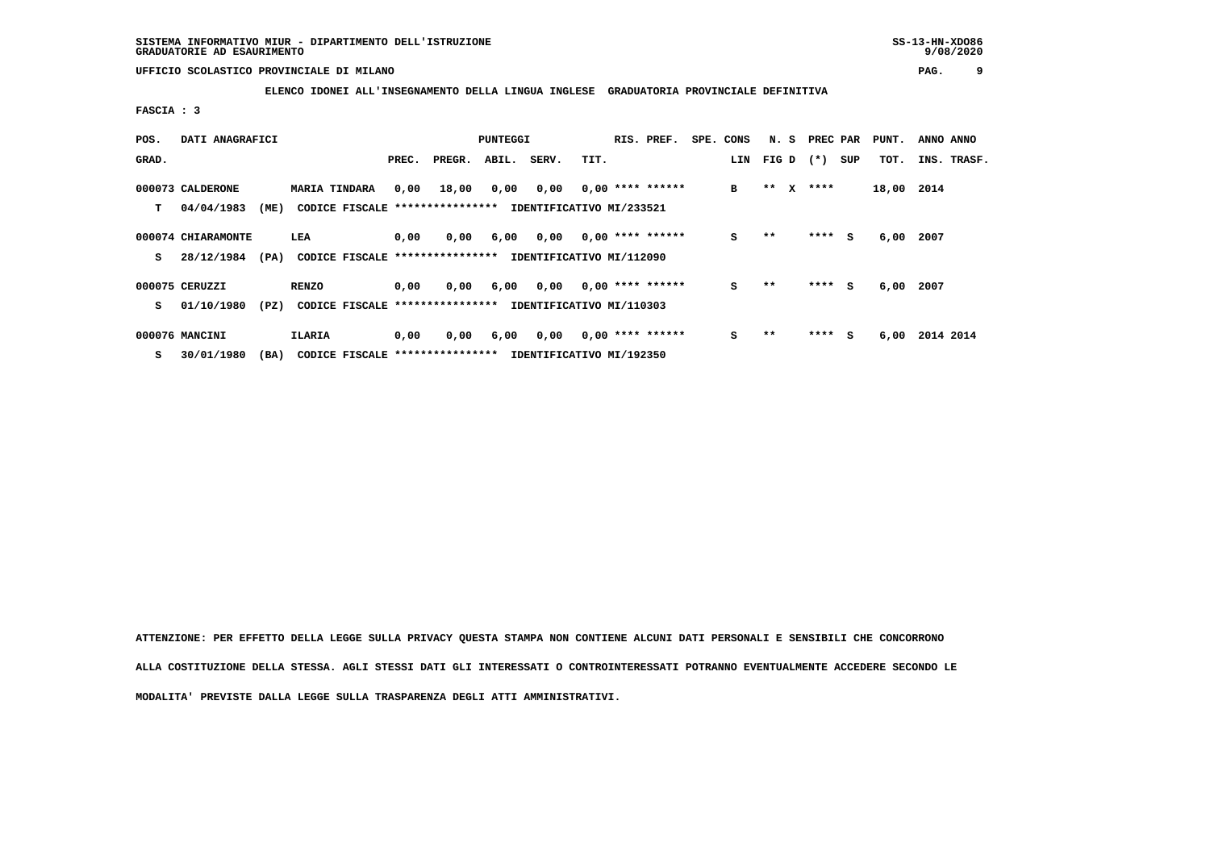**ELENCO IDONEI ALL'INSEGNAMENTO DELLA LINGUA INGLESE GRADUATORIA PROVINCIALE DEFINITIVA**

 **FASCIA : 3**

| POS.  | DATI ANAGRAFICI    |      |                                 |       |        | PUNTEGGI |                          |      | RIS. PREF.         | SPE. CONS | N. S  |              | PREC PAR |     | PUNT. | ANNO ANNO   |
|-------|--------------------|------|---------------------------------|-------|--------|----------|--------------------------|------|--------------------|-----------|-------|--------------|----------|-----|-------|-------------|
| GRAD. |                    |      |                                 | PREC. | PREGR. | ABIL.    | SERV.                    | TIT. |                    | LIN       | FIG D |              | $(*)$    | SUP | TOT.  | INS. TRASF. |
|       | 000073 CALDERONE   |      | <b>MARIA TINDARA</b>            | 0,00  | 18,00  | 0,00     | 0,00                     |      | $0,00$ **** ****** | в         | $* *$ | $\mathbf{x}$ | ****     |     | 18,00 | 2014        |
| т     | 04/04/1983         | (ME) | CODICE FISCALE **************** |       |        |          | IDENTIFICATIVO MI/233521 |      |                    |           |       |              |          |     |       |             |
|       |                    |      |                                 |       |        |          |                          |      |                    |           |       |              |          |     |       |             |
|       | 000074 CHIARAMONTE |      | LEA                             | 0,00  | 0,00   | 6,00     | 0,00                     |      | $0,00$ **** ****** | s         | $* *$ |              | ****     | S.  | 6,00  | 2007        |
| s     | 28/12/1984         | (PA) | CODICE FISCALE **************** |       |        |          | IDENTIFICATIVO MI/112090 |      |                    |           |       |              |          |     |       |             |
|       | 000075 CERUZZI     |      | <b>RENZO</b>                    | 0,00  | 0,00   | 6,00     | 0,00                     |      | $0,00$ **** ****** | s         | $* *$ |              | ****     | S.  | 6,00  | 2007        |
| s     | 01/10/1980         | (PZ) | CODICE FISCALE **************** |       |        |          | IDENTIFICATIVO MI/110303 |      |                    |           |       |              |          |     |       |             |
|       | 000076 MANCINI     |      | <b>ILARIA</b>                   | 0,00  | 0,00   | 6,00     | 0,00                     |      | $0,00$ **** ****** | s         | $* *$ |              | ****     | S.  | 6,00  | 2014 2014   |
|       |                    |      |                                 |       |        |          |                          |      |                    |           |       |              |          |     |       |             |
| s     | 30/01/1980         | (BA) | CODICE FISCALE **************** |       |        |          | IDENTIFICATIVO MI/192350 |      |                    |           |       |              |          |     |       |             |